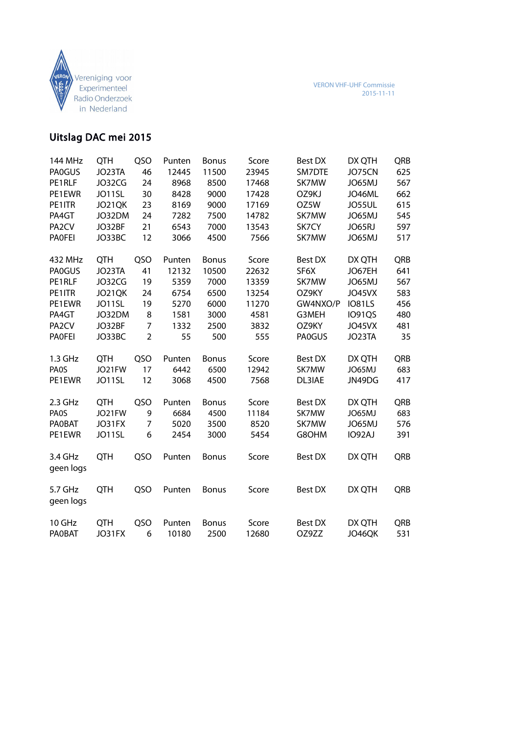

# Uitslag DAC mei 2015

| 144 MHz              | <b>QTH</b> | QSO            | Punten | <b>Bonus</b> | Score | <b>Best DX</b> | DX QTH        | QRB        |
|----------------------|------------|----------------|--------|--------------|-------|----------------|---------------|------------|
| <b>PA0GUS</b>        | JO23TA     | 46             | 12445  | 11500        | 23945 | SM7DTE         | JO75CN        | 625        |
| PE1RLF               | JO32CG     | 24             | 8968   | 8500         | 17468 | SK7MW          | JO65MJ        | 567        |
| PE1EWR               | JO11SL     | 30             | 8428   | 9000         | 17428 | OZ9KJ          | JO46ML        | 662        |
| PE1ITR               | JO21QK     | 23             | 8169   | 9000         | 17169 | OZ5W           | JO55UL        | 615        |
| PA4GT                | JO32DM     | 24             | 7282   | 7500         | 14782 | SK7MW          | JO65MJ        | 545        |
| PA <sub>2</sub> CV   | JO32BF     | 21             | 6543   | 7000         | 13543 | SK7CY          | JO65RJ        | 597        |
| <b>PAOFEI</b>        | JO33BC     | 12             | 3066   | 4500         | 7566  | SK7MW          | JO65MJ        | 517        |
| 432 MHz              | <b>QTH</b> | QSO            | Punten | <b>Bonus</b> | Score | <b>Best DX</b> | DX QTH        | QRB        |
| <b>PAOGUS</b>        | JO23TA     | 41             | 12132  | 10500        | 22632 | SF6X           | JO67EH        | 641        |
| PE1RLF               | JO32CG     | 19             | 5359   | 7000         | 13359 | SK7MW          | JO65MJ        | 567        |
| PE1ITR               | JO21QK     | 24             | 6754   | 6500         | 13254 | OZ9KY          | JO45VX        | 583        |
| PE1EWR               | JO11SL     | 19             | 5270   | 6000         | 11270 | GW4NXO/P       | <b>IO81LS</b> | 456        |
| PA4GT                | JO32DM     | 8              | 1581   | 3000         | 4581  | G3MEH          | <b>IO91QS</b> | 480        |
| PA <sub>2</sub> CV   | JO32BF     | $\overline{7}$ | 1332   | 2500         | 3832  | OZ9KY          | JO45VX        | 481        |
| <b>PAOFEI</b>        | JO33BC     | $\overline{2}$ | 55     | 500          | 555   | <b>PA0GUS</b>  | JO23TA        | 35         |
| 1.3 GHz              | <b>QTH</b> | QSO            | Punten | <b>Bonus</b> | Score | <b>Best DX</b> | DX QTH        | QRB        |
| <b>PAOS</b>          | JO21FW     | 17             | 6442   | 6500         | 12942 | SK7MW          | JO65MJ        | 683        |
| PE1EWR               | JO11SL     | 12             | 3068   | 4500         | 7568  | DL3IAE         | JN49DG        | 417        |
| 2.3 GHz              | <b>QTH</b> | QSO            | Punten | <b>Bonus</b> | Score | <b>Best DX</b> | DX QTH        | QRB        |
| <b>PAOS</b>          | JO21FW     | 9              | 6684   | 4500         | 11184 | SK7MW          | JO65MJ        | 683        |
| <b>PAOBAT</b>        | JO31FX     | 7              | 5020   | 3500         | 8520  | SK7MW          | JO65MJ        | 576        |
| PE1EWR               | JO11SL     | 6              | 2454   | 3000         | 5454  | G8OHM          | IO92AJ        | 391        |
| 3.4 GHz<br>geen logs | <b>QTH</b> | QSO            | Punten | <b>Bonus</b> | Score | <b>Best DX</b> | DX QTH        | QRB        |
| 5.7 GHz<br>geen logs | <b>QTH</b> | QSO            | Punten | <b>Bonus</b> | Score | <b>Best DX</b> | DX QTH        | QRB        |
| 10 GHz               | <b>QTH</b> | QSO            | Punten | <b>Bonus</b> | Score | <b>Best DX</b> | DX QTH        | <b>QRB</b> |
| <b>PAOBAT</b>        | JO31FX     | 6              | 10180  | 2500         | 12680 | OZ9ZZ          | JO46QK        | 531        |